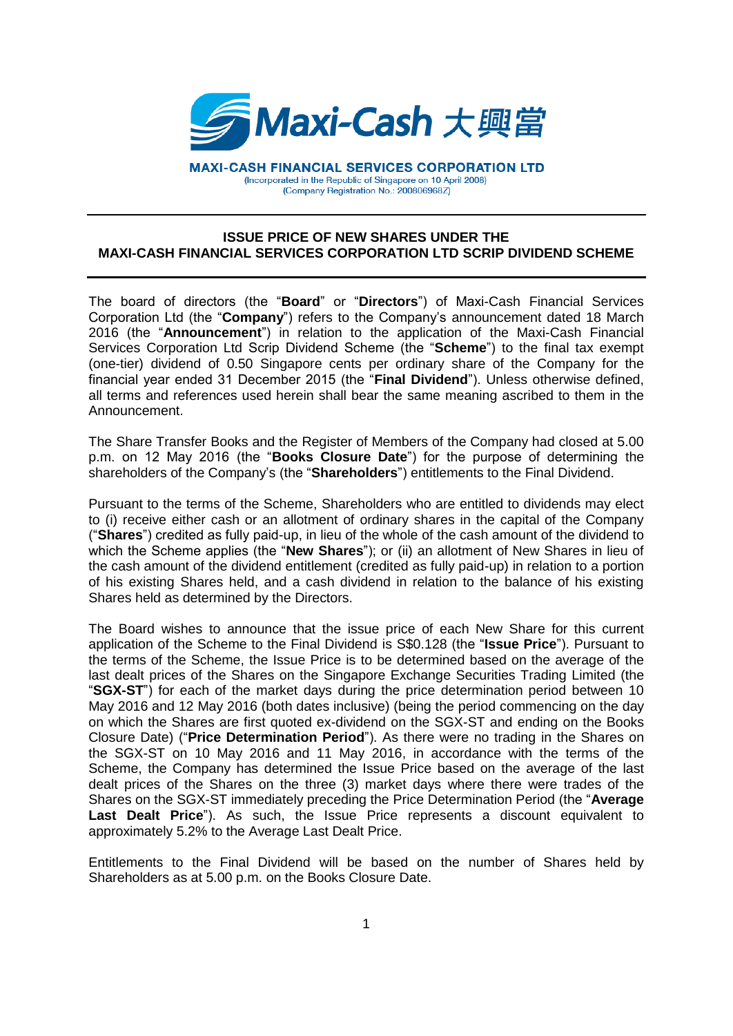

**MAXI-CASH FINANCIAL SERVICES CORPORATION LTD** (Incorporated in the Republic of Singapore on 10 April 2008) (Company Registration No.: 200806968Z)

## **ISSUE PRICE OF NEW SHARES UNDER THE MAXI-CASH FINANCIAL SERVICES CORPORATION LTD SCRIP DIVIDEND SCHEME**

The board of directors (the "**Board**" or "**Directors**") of Maxi-Cash Financial Services Corporation Ltd (the "**Company**") refers to the Company's announcement dated 18 March 2016 (the "**Announcement**") in relation to the application of the Maxi-Cash Financial Services Corporation Ltd Scrip Dividend Scheme (the "**Scheme**") to the final tax exempt (one-tier) dividend of 0.50 Singapore cents per ordinary share of the Company for the financial year ended 31 December 2015 (the "**Final Dividend**"). Unless otherwise defined, all terms and references used herein shall bear the same meaning ascribed to them in the Announcement.

The Share Transfer Books and the Register of Members of the Company had closed at 5.00 p.m. on 12 May 2016 (the "**Books Closure Date**") for the purpose of determining the shareholders of the Company's (the "**Shareholders**") entitlements to the Final Dividend.

Pursuant to the terms of the Scheme, Shareholders who are entitled to dividends may elect to (i) receive either cash or an allotment of ordinary shares in the capital of the Company ("**Shares**") credited as fully paid-up, in lieu of the whole of the cash amount of the dividend to which the Scheme applies (the "**New Shares**"); or (ii) an allotment of New Shares in lieu of the cash amount of the dividend entitlement (credited as fully paid-up) in relation to a portion of his existing Shares held, and a cash dividend in relation to the balance of his existing Shares held as determined by the Directors.

The Board wishes to announce that the issue price of each New Share for this current application of the Scheme to the Final Dividend is S\$0.128 (the "**Issue Price**"). Pursuant to the terms of the Scheme, the Issue Price is to be determined based on the average of the last dealt prices of the Shares on the Singapore Exchange Securities Trading Limited (the "**SGX-ST**") for each of the market days during the price determination period between 10 May 2016 and 12 May 2016 (both dates inclusive) (being the period commencing on the day on which the Shares are first quoted ex-dividend on the SGX-ST and ending on the Books Closure Date) ("**Price Determination Period**"). As there were no trading in the Shares on the SGX-ST on 10 May 2016 and 11 May 2016, in accordance with the terms of the Scheme, the Company has determined the Issue Price based on the average of the last dealt prices of the Shares on the three (3) market days where there were trades of the Shares on the SGX-ST immediately preceding the Price Determination Period (the "**Average Last Dealt Price**"). As such, the Issue Price represents a discount equivalent to approximately 5.2% to the Average Last Dealt Price.

Entitlements to the Final Dividend will be based on the number of Shares held by Shareholders as at 5.00 p.m. on the Books Closure Date.